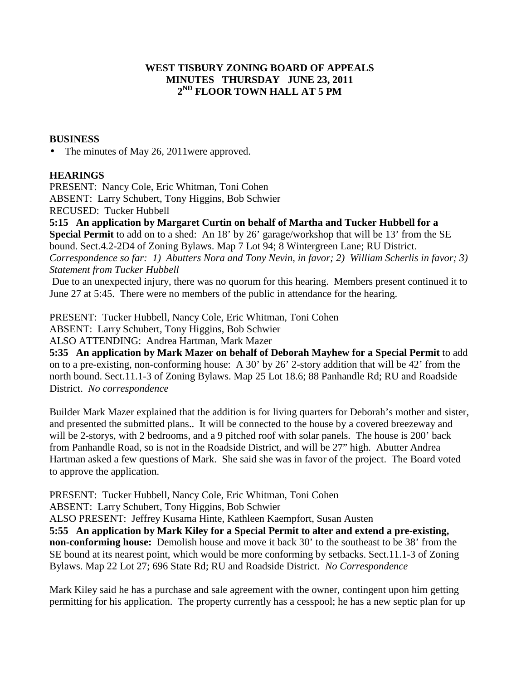## **WEST TISBURY ZONING BOARD OF APPEALS MINUTES THURSDAY JUNE 23, 2011 2 ND FLOOR TOWN HALL AT 5 PM**

## **BUSINESS**

• The minutes of May 26, 2011 were approved.

## **HEARINGS**

PRESENT:Nancy Cole, Eric Whitman, Toni Cohen ABSENT: Larry Schubert, Tony Higgins, Bob Schwier RECUSED: Tucker Hubbell

**5:15 An application by Margaret Curtin on behalf of Martha and Tucker Hubbell for a Special Permit** to add on to a shed: An 18' by 26' garage/workshop that will be 13' from the SE bound. Sect.4.2-2D4 of Zoning Bylaws. Map 7 Lot 94; 8 Wintergreen Lane; RU District. *Correspondence so far: 1) Abutters Nora and Tony Nevin, in favor; 2) William Scherlis in favor; 3) Statement from Tucker Hubbell* 

 Due to an unexpected injury, there was no quorum for this hearing. Members present continued it to June 27 at 5:45. There were no members of the public in attendance for the hearing.

PRESENT:Tucker Hubbell, Nancy Cole, Eric Whitman, Toni Cohen

ABSENT: Larry Schubert, Tony Higgins, Bob Schwier

ALSO ATTENDING: Andrea Hartman, Mark Mazer

**5:35 An application by Mark Mazer on behalf of Deborah Mayhew for a Special Permit** to add on to a pre-existing, non-conforming house: A 30' by 26' 2-story addition that will be 42' from the north bound. Sect.11.1-3 of Zoning Bylaws. Map 25 Lot 18.6; 88 Panhandle Rd; RU and Roadside District. *No correspondence* 

Builder Mark Mazer explained that the addition is for living quarters for Deborah's mother and sister, and presented the submitted plans.. It will be connected to the house by a covered breezeway and will be 2-storys, with 2 bedrooms, and a 9 pitched roof with solar panels. The house is 200' back from Panhandle Road, so is not in the Roadside District, and will be 27" high. Abutter Andrea Hartman asked a few questions of Mark. She said she was in favor of the project. The Board voted to approve the application.

PRESENT:Tucker Hubbell, Nancy Cole, Eric Whitman, Toni Cohen

ABSENT: Larry Schubert, Tony Higgins, Bob Schwier

ALSO PRESENT: Jeffrey Kusama Hinte, Kathleen Kaempfort, Susan Austen

**5:55 An application by Mark Kiley for a Special Permit to alter and extend a pre-existing, non-conforming house:** Demolish house and move it back 30' to the southeast to be 38' from the SE bound at its nearest point, which would be more conforming by setbacks. Sect.11.1-3 of Zoning Bylaws. Map 22 Lot 27; 696 State Rd; RU and Roadside District. *No Correspondence* 

Mark Kiley said he has a purchase and sale agreement with the owner, contingent upon him getting permitting for his application. The property currently has a cesspool; he has a new septic plan for up